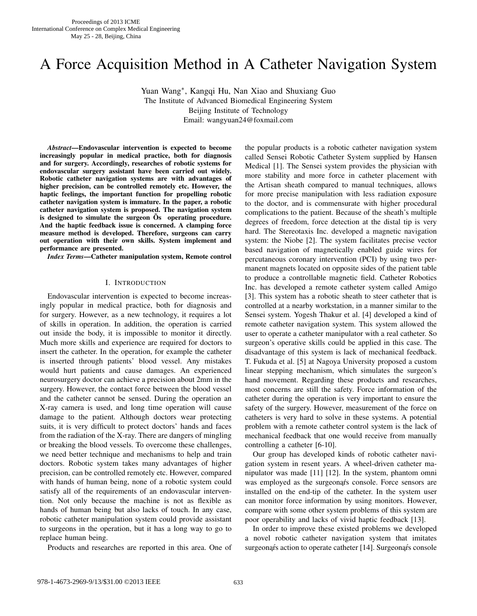# A Force Acquisition Method in A Catheter Navigation System

Yuan Wang∗, Kangqi Hu, Nan Xiao and Shuxiang Guo The Institute of Advanced Biomedical Engineering System Beijing Institute of Technology Email: wangyuan24@foxmail.com

*Abstract*—Endovascular intervention is expected to become increasingly popular in medical practice, both for diagnosis and for surgery. Accordingly, researches of robotic systems for endovascular surgery assistant have been carried out widely. Robotic catheter navigation systems are with advantages of higher precision, can be controlled remotely etc. However, the haptic feelings, the important function for propelling robotic catheter navigation system is immature. In the paper, a robotic catheter navigation system is proposed. The navigation system is designed to simulate the surgeon Õs operating procedure. And the haptic feedback issue is concerned. A clamping force measure method is developed. Therefore, surgeons can carry out operation with their own skills. System implement and performance are presented.

*Index Terms*—Catheter manipulation system, Remote control

#### I. INTRODUCTION

Endovascular intervention is expected to become increasingly popular in medical practice, both for diagnosis and for surgery. However, as a new technology, it requires a lot of skills in operation. In addition, the operation is carried out inside the body, it is impossible to monitor it directly. Much more skills and experience are required for doctors to insert the catheter. In the operation, for example the catheter is inserted through patients' blood vessel. Any mistakes would hurt patients and cause damages. An experienced neurosurgery doctor can achieve a precision about 2mm in the surgery. However, the contact force between the blood vessel and the catheter cannot be sensed. During the operation an X-ray camera is used, and long time operation will cause damage to the patient. Although doctors wear protecting suits, it is very difficult to protect doctors' hands and faces from the radiation of the X-ray. There are dangers of mingling or breaking the blood vessels. To overcome these challenges, we need better technique and mechanisms to help and train doctors. Robotic system takes many advantages of higher precision, can be controlled remotely etc. However, compared with hands of human being, none of a robotic system could satisfy all of the requirements of an endovascular intervention. Not only because the machine is not as flexible as hands of human being but also lacks of touch. In any case, robotic catheter manipulation system could provide assistant to surgeons in the operation, but it has a long way to go to replace human being.

Products and researches are reported in this area. One of

the popular products is a robotic catheter navigation system called Sensei Robotic Catheter System supplied by Hansen Medical [1]. The Sensei system provides the physician with more stability and more force in catheter placement with the Artisan sheath compared to manual techniques, allows for more precise manipulation with less radiation exposure to the doctor, and is commensurate with higher procedural complications to the patient. Because of the sheath's multiple degrees of freedom, force detection at the distal tip is very hard. The Stereotaxis Inc. developed a magnetic navigation system: the Niobe [2]. The system facilitates precise vector based navigation of magnetically enabled guide wires for percutaneous coronary intervention (PCI) by using two permanent magnets located on opposite sides of the patient table to produce a controllable magnetic field. Catheter Robotics Inc. has developed a remote catheter system called Amigo [3]. This system has a robotic sheath to steer catheter that is controlled at a nearby workstation, in a manner similar to the Sensei system. Yogesh Thakur et al. [4] developed a kind of remote catheter navigation system. This system allowed the user to operate a catheter manipulator with a real catheter. So surgeon's operative skills could be applied in this case. The disadvantage of this system is lack of mechanical feedback. T. Fukuda et al. [5] at Nagoya University proposed a custom linear stepping mechanism, which simulates the surgeon's hand movement. Regarding these products and researches, most concerns are still the safety. Force information of the catheter during the operation is very important to ensure the safety of the surgery. However, measurement of the force on catheters is very hard to solve in these systems. A potential problem with a remote catheter control system is the lack of mechanical feedback that one would receive from manually controlling a catheter [6-10].

Our group has developed kinds of robotic catheter navigation system in resent years. A wheel-driven catheter manipulator was made [11] [12]. In the system, phantom omni was employed as the surgeonars console. Force sensors are installed on the end-tip of the catheter. In the system user can monitor force information by using monitors. However, compare with some other system problems of this system are poor operability and lacks of vivid haptic feedback [13].

In order to improve these existed problems we developed a novel robotic catheter navigation system that imitates surgeonars action to operate catheter [14]. Surgeonars console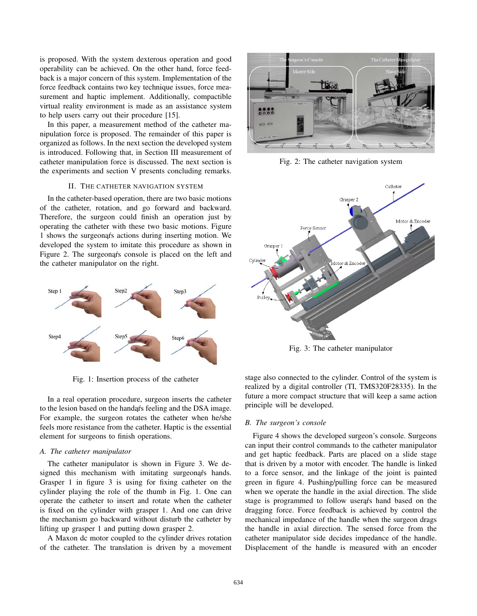is proposed. With the system dexterous operation and good operability can be achieved. On the other hand, force feedback is a major concern of this system. Implementation of the force feedback contains two key technique issues, force measurement and haptic implement. Additionally, compactible virtual reality environment is made as an assistance system to help users carry out their procedure [15].

In this paper, a measurement method of the catheter manipulation force is proposed. The remainder of this paper is organized as follows. In the next section the developed system is introduced. Following that, in Section III measurement of catheter manipulation force is discussed. The next section is the experiments and section V presents concluding remarks.

#### II. THE CATHETER NAVIGATION SYSTEM

In the catheter-based operation, there are two basic motions of the catheter, rotation, and go forward and backward. Therefore, the surgeon could finish an operation just by operating the catheter with these two basic motions. Figure 1 shows the surgeonars actions during inserting motion. We developed the system to imitate this procedure as shown in Figure 2. The surgeonart console is placed on the left and the catheter manipulator on the right.



Fig. 1: Insertion process of the catheter

In a real operation procedure, surgeon inserts the catheter to the lesion based on the hand at feeling and the DSA image. For example, the surgeon rotates the catheter when he/she feels more resistance from the catheter. Haptic is the essential element for surgeons to finish operations.

#### *A. The catheter manipulator*

The catheter manipulator is shown in Figure 3. We designed this mechanism with imitating surgeonars hands. Grasper 1 in figure 3 is using for fixing catheter on the cylinder playing the role of the thumb in Fig. 1. One can operate the catheter to insert and rotate when the catheter is fixed on the cylinder with grasper 1. And one can drive the mechanism go backward without disturb the catheter by lifting up grasper 1 and putting down grasper 2.

A Maxon dc motor coupled to the cylinder drives rotation of the catheter. The translation is driven by a movement



Fig. 2: The catheter navigation system



Fig. 3: The catheter manipulator

stage also connected to the cylinder. Control of the system is realized by a digital controller (TI, TMS320F28335). In the future a more compact structure that will keep a same action principle will be developed.

## *B. The surgeon's console*

Figure 4 shows the developed surgeon's console. Surgeons can input their control commands to the catheter manipulator and get haptic feedback. Parts are placed on a slide stage that is driven by a motor with encoder. The handle is linked to a force sensor, and the linkage of the joint is painted green in figure 4. Pushing/pulling force can be measured when we operate the handle in the axial direction. The slide stage is programmed to follow userafs hand based on the dragging force. Force feedback is achieved by control the mechanical impedance of the handle when the surgeon drags the handle in axial direction. The sensed force from the catheter manipulator side decides impedance of the handle. Displacement of the handle is measured with an encoder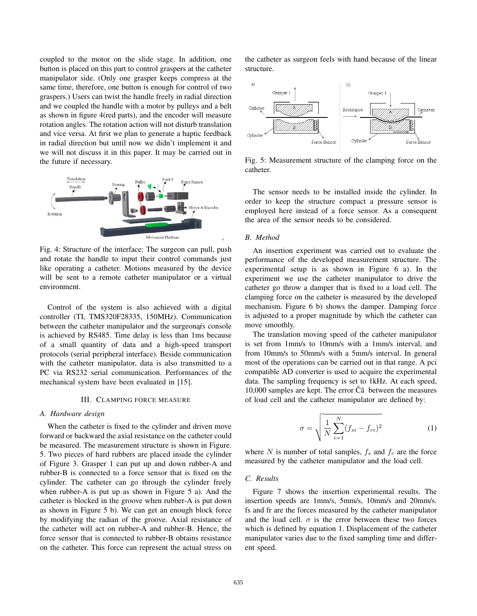coupled to the motor on the slide stage. In addition, one button is placed on this part to control graspers at the catheter manipulator side. (Only one grasper keeps compress at the same time, therefore, one button is enough for control of two graspers.) Users can twist the handle freely in radial direction and we coupled the handle with a motor by pulleys and a belt as shown in figure 4(red parts), and the encoder will measure rotation angles. The rotation action will not disturb translation and vice versa. At first we plan to generate a haptic feedback in radial direction but until now we didn't implement it and we will not discuss it in this paper. It may be carried out in the future if necessary.



Fig. 4: Structure of the interface: The surgeon can pull, push and rotate the handle to input their control commands just like operating a catheter. Motions measured by the device will be sent to a remote catheter manipulator or a virtual environment.

Control of the system is also achieved with a digital controller (TI, TMS320F28335, 150MHz). Communication between the catheter manipulator and the surgeonars console is achieved by RS485. Time delay is less than 1ms because of a small quantity of data and a high-speed transport protocols (serial peripheral interface). Beside communication with the catheter manipulator, data is also transmitted to a PC via RS232 serial communication. Performances of the mechanical system have been evaluated in [15].

#### III. CLAMPING FORCE MEASURE

#### *A. Hardware design*

When the catheter is fixed to the cylinder and driven move forward or backward the axial resistance on the catheter could be measured. The measurement structure is shown in Figure. 5. Two pieces of hard rubbers are placed inside the cylinder of Figure 3. Grasper 1 can put up and down rubber-A and rubber-B is connected to a force sensor that is fixed on the cylinder. The catheter can go through the cylinder freely when rubber-A is put up as shown in Figure 5 a). And the catheter is blocked in the groove when rubber-A is put down as shown in Figure 5 b). We can get an enough block force by modifying the radian of the groove. Axial resistance of the catheter will act on rubber-A and rubber-B. Hence, the force sensor that is connected to rubber-B obtains resistance on the catheter. This force can represent the actual stress on the catheter as surgeon feels with hand because of the linear structure.



Fig. 5: Measurement structure of the clamping force on the catheter.

The sensor needs to be installed inside the cylinder. In order to keep the structure compact a pressure sensor is employed here instead of a force sensor. As a consequent the area of the sensor needs to be considered.

## *B. Method*

An insertion experiment was carried out to evaluate the performance of the developed measurement structure. The experimental setup is as shown in Figure 6 a). In the experiment we use the catheter manipulator to drive the catheter go throw a damper that is fixed to a load cell. The clamping force on the catheter is measured by the developed mechanism. Figure 6 b) shows the damper. Damping force is adjusted to a proper magnitude by which the catheter can move smoothly.

The translation moving speed of the catheter manipulator is set from 1mm/s to 10mm/s with a 1mm/s interval, and from 10mm/s to 50mm/s with a 5mm/s interval. In general most of the operations can be carried out in that range. A pci compatible AD converter is used to acquire the experimental data. The sampling frequency is set to 1kHz. At each speed,  $10,000$  samples are kept. The error  $\check{C}\check{a}$  between the measures of load cell and the catheter manipulator are defined by:

$$
\sigma = \sqrt{\frac{1}{N} \sum_{i=1}^{N} (f_{si} - f_{ri})^2}
$$
 (1)

where N is number of total samples,  $f_s$  and  $f_r$  are the force measured by the catheter manipulator and the load cell.

## *C. Results*

Figure 7 shows the insertion experimental results. The insertion speeds are 1mm/s, 5mm/s, 10mm/s and 20mm/s. fs and fr are the forces measured by the catheter manipulator and the load cell.  $\sigma$  is the error between these two forces which is defined by equation 1. Displacement of the catheter manipulator varies due to the fixed sampling time and different speed.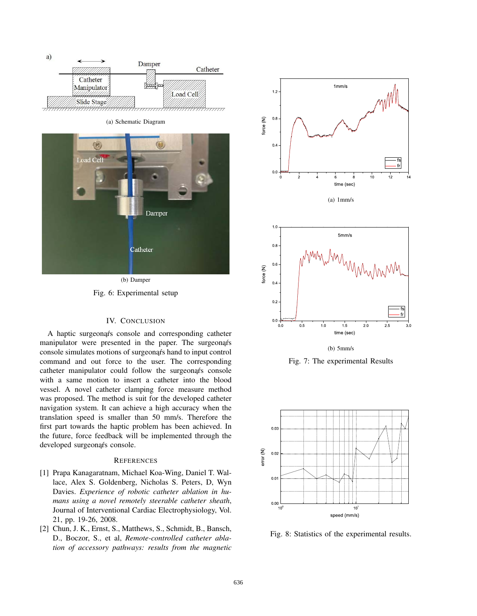

(b) Damper Fig. 6: Experimental setup

## IV. CONCLUSION

A haptic surgeonars console and corresponding catheter manipulator were presented in the paper. The surgeonars console simulates motions of surgeonarch hand to input control command and out force to the user. The corresponding catheter manipulator could follow the surgeonars console with a same motion to insert a catheter into the blood vessel. A novel catheter clamping force measure method was proposed. The method is suit for the developed catheter navigation system. It can achieve a high accuracy when the translation speed is smaller than 50 mm/s. Therefore the first part towards the haptic problem has been achieved. In the future, force feedback will be implemented through the developed surgeonars console.

## **REFERENCES**

- [1] Prapa Kanagaratnam, Michael Koa-Wing, Daniel T. Wallace, Alex S. Goldenberg, Nicholas S. Peters, D, Wyn Davies. *Experience of robotic catheter ablation in humans using a novel remotely steerable catheter sheath*, Journal of Interventional Cardiac Electrophysiology, Vol. 21, pp. 19-26, 2008.
- [2] Chun, J. K., Ernst, S., Matthews, S., Schmidt, B., Bansch, D., Boczor, S., et al, *Remote-controlled catheter ablation of accessory pathways: results from the magnetic*





(b) 5mm/s

Fig. 7: The experimental Results



Fig. 8: Statistics of the experimental results.